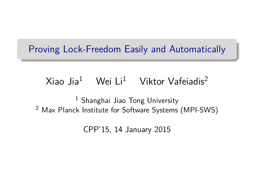#### <span id="page-0-0"></span>Proving Lock-Freedom Easily and Automatically

# Xiao Jia<sup>1</sup> Wei Li<sup>1</sup> Viktor Vafeiadis<sup>2</sup>

<sup>1</sup> Shanghai Jiao Tong University <sup>2</sup> Max Planck Institute for Software Systems (MPI-SWS)

CPP'15, 14 January 2015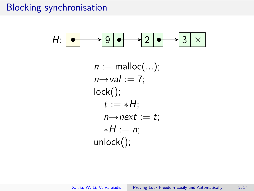#### Blocking synchronisation

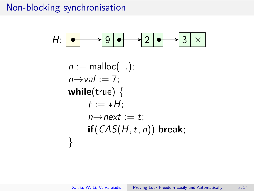### Non-blocking synchronisation

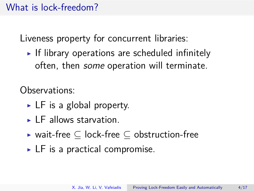## What is lock-freedom?

Liveness property for concurrent libraries:

If library operations are scheduled infinitely often, then some operation will terminate.

Observations:

- $\triangleright$  LF is a global property.
- $\blacktriangleright$  LF allows starvation.
- $\blacktriangleright$  wait-free  $\subseteq$  lock-free  $\subseteq$  obstruction-free
- $\triangleright$  LF is a practical compromise.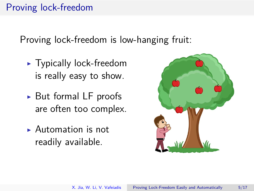# Proving lock-freedom

Proving lock-freedom is low-hanging fruit:

- $\blacktriangleright$  Typically lock-freedom is really easy to show.
- $\triangleright$  But formal LF proofs are often too complex.
- $\blacktriangleright$  Automation is not readily available.

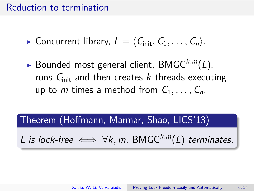#### Reduction to termination

**Concurrent library,**  $L = \langle C_{\text{init}}, C_1, \ldots, C_n \rangle$ .

 $\blacktriangleright$  Bounded most general client, BMGC<sup>k,m</sup>(L), runs  $C<sub>init</sub>$  and then creates k threads executing up to m times a method from  $C_1, \ldots, C_n$ .

Theorem (Hoffmann, Marmar, Shao, LICS'13)

L is lock-free  $\iff \forall k, m$ . BMGC<sup>k,m</sup>(L) terminates.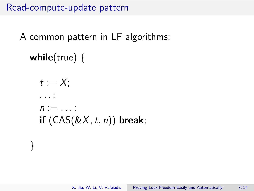Read-compute-update pattern

A common pattern in LF algorithms:

**while**(true) {

}

 $t := X$ : *. . .* ;  $n := \ldots;$ **if** (CAS(&X*,*t*,* n)) **break**;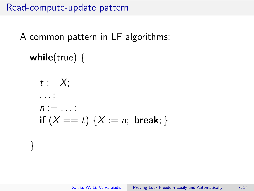Read-compute-update pattern

A common pattern in LF algorithms:

**while**(true) {

}

$$
t := X;
$$
  
\n...;  
\n $n := ...;$   
\n**if**  $(X == t) \{X := n; \text{ break}; \}$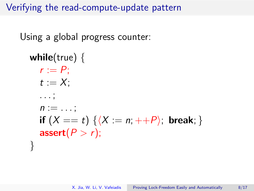Using a global progress counter:

```
while(true) {
   r := P:
   t := X:
   . . . ;
   n := \ldots ;
  if (X == t) {\langle X := n; ++P \rangle; break; }
   \textsf{assert}(P > r);
}
```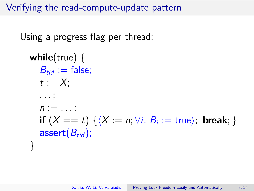Using a progress flag per thread:

```
while(true) {
    B_{tid} := false:
    t := X:
    . . . ;
    n := \ldots:
    \mathsf{if}\,\, (X == t)\, \{\langle X := n ; \forall i.\,\, B_i := \mathsf{true} \rangle;\,\, \mathsf{break}; \,\}assert(B_{tid});
}
```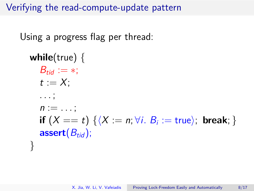Using a progress flag per thread:

```
while(true) {
    B_{tid} := *;t := X:
    . . . ;
    n := \ldots ;
    \mathsf{if}\,\, (X == t)\, \{\langle X := n ; \forall i.\,\, B_i := \mathsf{true} \rangle;\,\, \mathsf{break}; \,\}assert(B_{tid});
}
```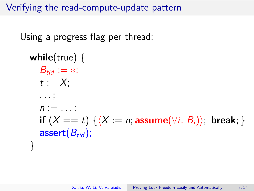Using a progress flag per thread:

```
while(true) {
   B_{tid} := *;t := X:
   . . . ;
   n := \ldots:
   if (X == t) \{\langle X := n; \textbf{assume}(\forall i. B_i)\rangle\}, break; }
   assert(B_{tid});
}
```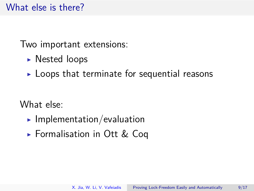# What else is there?

Two important extensions:

- $\triangleright$  Nested loops
- $\blacktriangleright$  Loops that terminate for sequential reasons

What else:

- $\blacktriangleright$  Implementation/evaluation
- ► Formalisation in Ott & Cog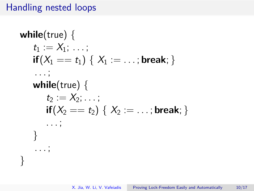# Handling nested loops

**while**(true) { t<sup>1</sup> := X1; *. . .* ; **if**(X<sup>1</sup> == t1) { X<sup>1</sup> := *. . .* ; **break**; } *. . .* ; **while**(true) { t<sup>2</sup> := X2; *. . .* ; **if**(X<sup>2</sup> == t2) { X<sup>2</sup> := *. . .* ; **break**; } *. . .* ; } *. . .* ; }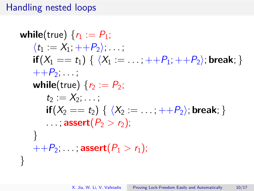# Handling nested loops

while (true) 
$$
{r_1 := P_1;
$$

\n
$$
\langle t_1 := X_1, +P_2 \rangle; \dots;
$$
\nif  $(X_1 == t_1) \{ \langle X_1 == \dots, +P_1, +P_2 \rangle; \text{break}; \}$ 

\n
$$
++P_2; \dots;
$$
\nwhile (true)  ${r_2 := P_2;$ 

\n
$$
t_2 := X_2; \dots;
$$
\nif  $(X_2 == t_2) \{ \langle X_2 == \dots, +P_2 \rangle; \text{break}; \}$ 

\n
$$
\dots; \text{assert}(P_2 > r_2);
$$
\n}

\n+

\n
$$
++P_2; \dots; \text{assert}(P_1 > r_1);
$$
\n}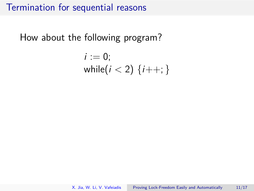How about the following program?

$$
i := 0;
$$
  
while $(i < 2) \{i++; \}$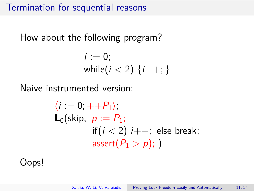How about the following program?

$$
i := 0;
$$
  
while $(i < 2) \{i++; \}$ 

Naive instrumented version:

$$
\langle i := 0; ++P_1 \rangle;
$$
\n
$$
\mathsf{L}_0(\text{skip}, p := P_1;
$$
\n
$$
\text{if } (i < 2) \text{ } i++; \text{ else break};
$$
\n
$$
\text{assert}(P_1 > p); )
$$

Oops!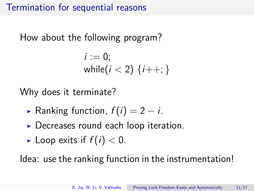How about the following program?

$$
i := 0;
$$
  
while $(i < 2) \{i++; \}$ 

Why does it terminate?

- **Ranking function,**  $f(i) = 2 i$ **.**
- $\triangleright$  Decreases round each loop iteration.
- I Loop exits if  $f(i) < 0$ .

Idea: use the ranking function in the instrumentation!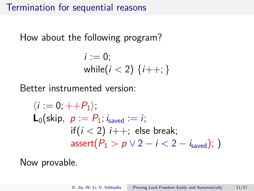How about the following program?

$$
i := 0;
$$
  
while $(i < 2) \{i++; \}$ 

Better instrumented version:

$$
\langle i := 0, ++P_1 \rangle;
$$
\n
$$
\mathsf{L}_0(\text{skip}, p := P_1; i_{\text{saved}} := i;
$$
\n
$$
\text{if } (i < 2) \text{ } i++; \text{ else break};
$$
\n
$$
\text{assert}(P_1 > p \lor 2 - i < 2 - i_{\text{saved}}); )
$$

Now provable.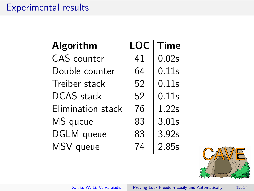### Experimental results

| <b>Algorithm</b>   | <b>LOC</b> | <b>Time</b>       |
|--------------------|------------|-------------------|
| <b>CAS</b> counter | 41         | 0.02 <sub>S</sub> |
| Double counter     | 64         | 0.11s             |
| Treiber stack      | 52         | 0.11s             |
| <b>DCAS</b> stack  | 52         | 0.11s             |
| Elimination stack  | 76         | 1.22s             |
| MS queue           | 83         | 3.01s             |
| DGLM queue         | 83         | 3.92s             |
| MSV queue          | 74         | 2.85s             |



X. Jia, W. Li, V. Vafeiadis [Proving Lock-Freedom Easily and Automatically 12/17](#page-0-0)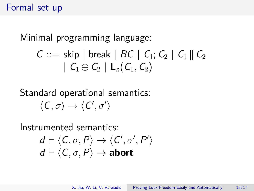#### Formal set up

Minimal programming language:

$$
C ::= skip \mid break \mid BC \mid C_1; C_2 \mid C_1 \parallel C_2
$$

$$
\mid C_1 \oplus C_2 \mid L_n(C_1, C_2)
$$

# Standard operational semantics:  $\langle C, \sigma \rangle \rightarrow \langle C', \sigma' \rangle$

Instrumented semantics:

$$
d \vdash \langle C, \sigma, P \rangle \rightarrow \langle C', \sigma', P' \rangle
$$

$$
d \vdash \langle C, \sigma, P \rangle \rightarrow \text{abort}
$$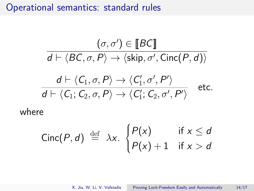Operational semantics: standard rules

$$
(\sigma, \sigma') \in \llbracket BC \rrbracket
$$

$$
d \vdash \langle BC, \sigma, P \rangle \rightarrow \langle \text{skip}, \sigma', \text{Cinc}(P, d) \rangle
$$

$$
d \vdash \langle C_1, \sigma, P \rangle \rightarrow \langle C'_1, \sigma', P' \rangle
$$

$$
d \vdash \langle C_1; C_2, \sigma, P \rangle \rightarrow \langle C'_1; C_2, \sigma', P' \rangle \quad \text{etc.}
$$

where

Cinc
$$
(P, d)
$$
  $\stackrel{\text{def}}{=} \lambda x$ .  $\begin{cases} P(x) & \text{if } x \leq d \\ P(x) + 1 & \text{if } x > d \end{cases}$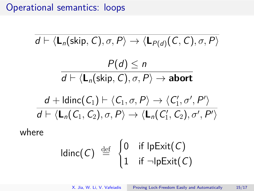### Operational semantics: loops

$$
\overline{d} \vdash \langle \mathbf{L}_n(\text{skip}, C), \sigma, P \rangle \rightarrow \langle \mathbf{L}_{P(d)}(C, C), \sigma, P \rangle
$$
\n
$$
\overline{d} \vdash \langle \mathbf{L}_n(\text{skip}, C), \sigma, P \rangle \rightarrow \text{abort}
$$
\n
$$
\overline{d} \vdash \langle \mathbf{L}_n(\text{skip}, C), \sigma, P \rangle \rightarrow \text{abort}
$$
\n
$$
\overline{d} \vdash \langle \mathbf{L}_n(C_1) \vdash \langle C_1, \sigma, P \rangle \rightarrow \langle C'_1, \sigma', P' \rangle
$$
\nwhere\n
$$
\langle Q_1, Q_2 \rangle, \sigma, P \rangle \rightarrow \langle \mathbf{L}_n(C'_1, C_2), \sigma', P' \rangle
$$
\n
$$
\langle Q_1, Q_2 \rangle, \sigma' \rangle
$$

$$
Idinc(C) \stackrel{\text{def}}{=} \begin{cases} 0 & \text{if } \mathsf{lpExit}(C) \\ 1 & \text{if } \neg \mathsf{lpExit}(C) \end{cases}
$$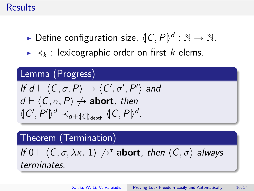#### Results

- $\blacktriangleright$  Define configuration size,  $\langle C, P \rangle^d : \mathbb{N} \to \mathbb{N}.$
- $\blacktriangleright \prec_k$ : lexicographic order on first k elems.

# Lemma (Progress) If  $d \vdash \langle C, \sigma, P \rangle \rightarrow \langle C', \sigma', P' \rangle$  and  $d \vdash \langle C, \sigma, P \rangle \nrightarrow$  **abort**, then  $\langle \langle C', P' \rangle \rangle^d \prec_{d+\langle |C|\rangle_{\text{depth}}} \langle \langle C, P \rangle \rangle^d$ .

Theorem (Termination)

If 
$$
0 \vdash \langle C, \sigma, \lambda x. 1 \rangle \nleftrightarrow^*
$$
 **abort**, then  $\langle C, \sigma \rangle$  always

terminates.